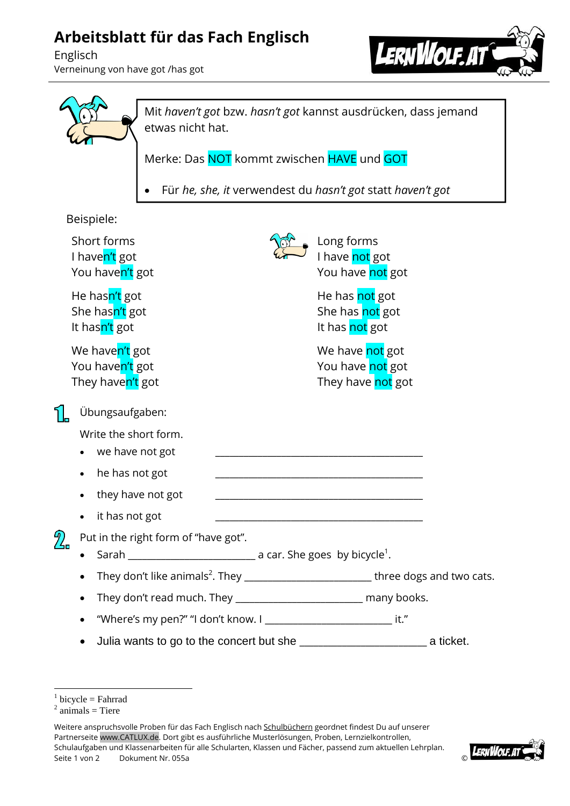## **Arbeitsblatt für das Fach Englisch**

Englisch Verneinung von have got /has got





<sup>1</sup>  $1$  bicycle = Fahrrad

Weitere anspruchsvolle Proben für das Fach Englisch nach Schulbüchern geordnet findest Du auf unserer Partnerseite www.CATLUX.de. Dort gibt es ausführliche Musterlösungen, Proben, Lernzielkontrollen, Schulaufgaben und Klassenarbeiten für alle Schularten, Klassen und Fächer, passend zum aktuellen Lehrplan. Seite 1 von 2 Dokument Nr. 055a



 $2$  animals = Tiere